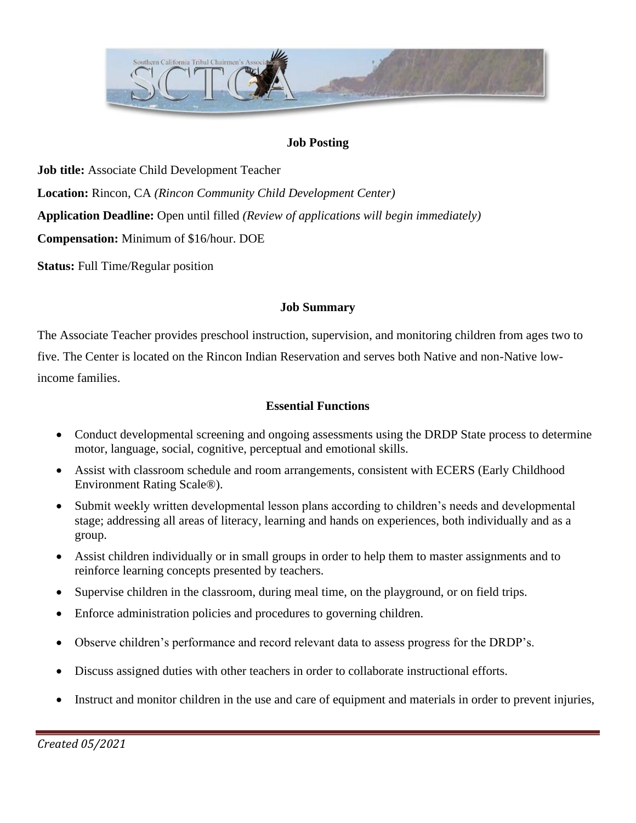

#### **Job Posting**

**Job title:** Associate Child Development Teacher **Location:** Rincon, CA *(Rincon Community Child Development Center)* **Application Deadline:** Open until filled *(Review of applications will begin immediately)* **Compensation:** Minimum of \$16/hour. DOE

**Status:** Full Time/Regular position

#### **Job Summary**

The Associate Teacher provides preschool instruction, supervision, and monitoring children from ages two to five. The Center is located on the Rincon Indian Reservation and serves both Native and non-Native lowincome families.

### **Essential Functions**

- Conduct developmental screening and ongoing assessments using the DRDP State process to determine motor, language, social, cognitive, perceptual and emotional skills.
- Assist with classroom schedule and room arrangements, consistent with ECERS (Early Childhood Environment Rating Scale®).
- Submit weekly written developmental lesson plans according to children's needs and developmental stage; addressing all areas of literacy, learning and hands on experiences, both individually and as a group.
- Assist children individually or in small groups in order to help them to master assignments and to reinforce learning concepts presented by teachers.
- Supervise children in the classroom, during meal time, on the playground, or on field trips.
- Enforce administration policies and procedures to governing children.
- Observe children's performance and record relevant data to assess progress for the DRDP's.
- Discuss assigned duties with other teachers in order to collaborate instructional efforts.
- Instruct and monitor children in the use and care of equipment and materials in order to prevent injuries,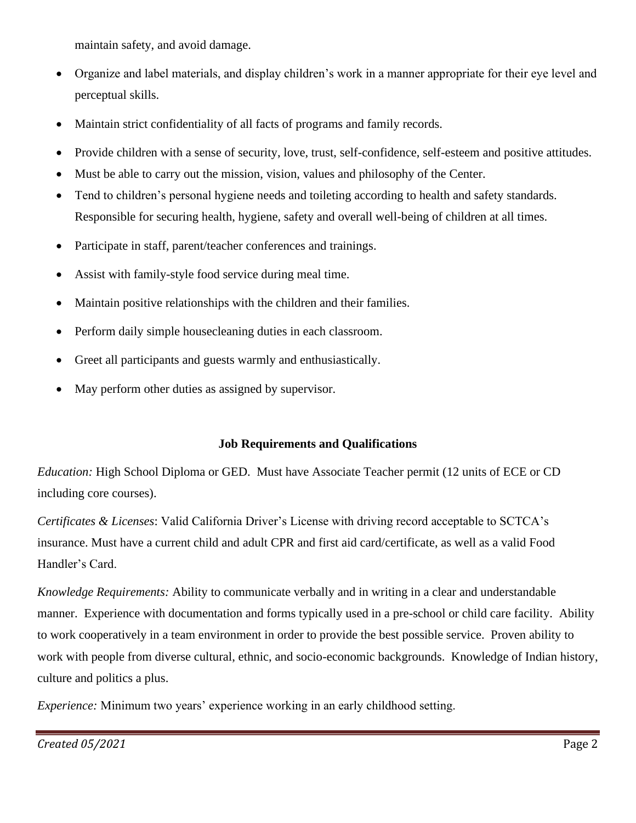maintain safety, and avoid damage.

- Organize and label materials, and display children's work in a manner appropriate for their eye level and perceptual skills.
- Maintain strict confidentiality of all facts of programs and family records.
- Provide children with a sense of security, love, trust, self-confidence, self-esteem and positive attitudes.
- Must be able to carry out the mission, vision, values and philosophy of the Center.
- Tend to children's personal hygiene needs and toileting according to health and safety standards. Responsible for securing health, hygiene, safety and overall well-being of children at all times.
- Participate in staff, parent/teacher conferences and trainings.
- Assist with family-style food service during meal time.
- Maintain positive relationships with the children and their families.
- Perform daily simple housecleaning duties in each classroom.
- Greet all participants and guests warmly and enthusiastically.
- May perform other duties as assigned by supervisor.

## **Job Requirements and Qualifications**

*Education:* High School Diploma or GED. Must have Associate Teacher permit (12 units of ECE or CD including core courses).

*Certificates & Licenses*: Valid California Driver's License with driving record acceptable to SCTCA's insurance. Must have a current child and adult CPR and first aid card/certificate, as well as a valid Food Handler's Card.

*Knowledge Requirements:* Ability to communicate verbally and in writing in a clear and understandable manner. Experience with documentation and forms typically used in a pre-school or child care facility. Ability to work cooperatively in a team environment in order to provide the best possible service. Proven ability to work with people from diverse cultural, ethnic, and socio-economic backgrounds. Knowledge of Indian history, culture and politics a plus.

*Experience:* Minimum two years' experience working in an early childhood setting.